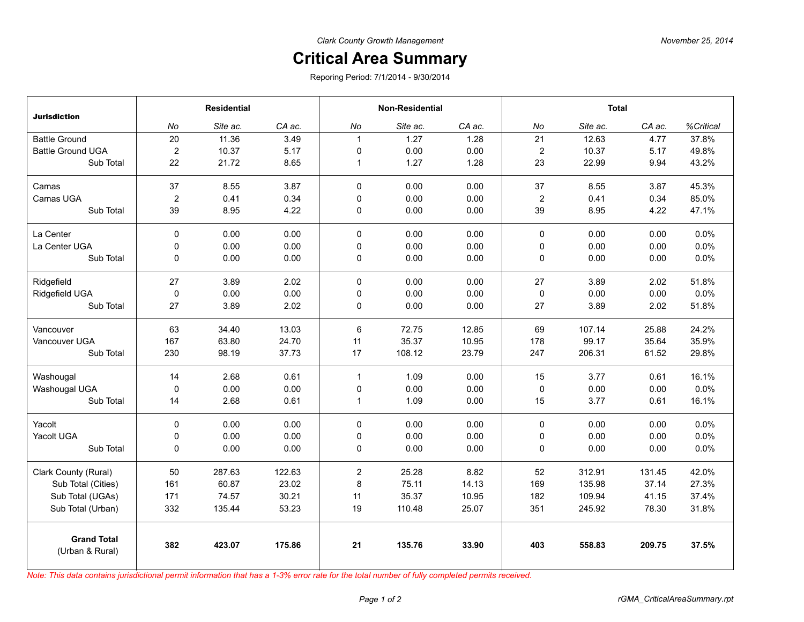## **Critical Area Summary**

Reporing Period: 7/1/2014 - 9/30/2014

| <b>Jurisdiction</b>                   | <b>Residential</b> |          |        | <b>Non-Residential</b> |          |        | <b>Total</b>   |          |        |           |
|---------------------------------------|--------------------|----------|--------|------------------------|----------|--------|----------------|----------|--------|-----------|
|                                       | No                 | Site ac. | CA ac. | No                     | Site ac. | CA ac. | No             | Site ac. | CA ac. | %Critical |
| <b>Battle Ground</b>                  | 20                 | 11.36    | 3.49   | $\overline{1}$         | 1.27     | 1.28   | 21             | 12.63    | 4.77   | 37.8%     |
| <b>Battle Ground UGA</b>              | $\overline{c}$     | 10.37    | 5.17   | 0                      | 0.00     | 0.00   | $\overline{2}$ | 10.37    | 5.17   | 49.8%     |
| Sub Total                             | 22                 | 21.72    | 8.65   | $\overline{1}$         | 1.27     | 1.28   | 23             | 22.99    | 9.94   | 43.2%     |
| Camas                                 | 37                 | 8.55     | 3.87   | $\mathbf 0$            | 0.00     | 0.00   | 37             | 8.55     | 3.87   | 45.3%     |
| Camas UGA                             | $\overline{c}$     | 0.41     | 0.34   | 0                      | 0.00     | 0.00   | $\overline{2}$ | 0.41     | 0.34   | 85.0%     |
| Sub Total                             | 39                 | 8.95     | 4.22   | 0                      | 0.00     | 0.00   | 39             | 8.95     | 4.22   | 47.1%     |
| La Center                             | 0                  | 0.00     | 0.00   | $\Omega$               | 0.00     | 0.00   | $\mathbf 0$    | 0.00     | 0.00   | 0.0%      |
| La Center UGA                         | 0                  | 0.00     | 0.00   | 0                      | 0.00     | 0.00   | 0              | 0.00     | 0.00   | 0.0%      |
| Sub Total                             | 0                  | 0.00     | 0.00   | 0                      | 0.00     | 0.00   | 0              | 0.00     | 0.00   | 0.0%      |
| Ridgefield                            | 27                 | 3.89     | 2.02   | $\mathbf 0$            | 0.00     | 0.00   | 27             | 3.89     | 2.02   | 51.8%     |
| Ridgefield UGA                        | $\pmb{0}$          | 0.00     | 0.00   | 0                      | 0.00     | 0.00   | 0              | 0.00     | 0.00   | 0.0%      |
| Sub Total                             | 27                 | 3.89     | 2.02   | 0                      | 0.00     | 0.00   | 27             | 3.89     | 2.02   | 51.8%     |
| Vancouver                             | 63                 | 34.40    | 13.03  | 6                      | 72.75    | 12.85  | 69             | 107.14   | 25.88  | 24.2%     |
| Vancouver UGA                         | 167                | 63.80    | 24.70  | 11                     | 35.37    | 10.95  | 178            | 99.17    | 35.64  | 35.9%     |
| Sub Total                             | 230                | 98.19    | 37.73  | 17                     | 108.12   | 23.79  | 247            | 206.31   | 61.52  | 29.8%     |
| Washougal                             | 14                 | 2.68     | 0.61   | $\mathbf{1}$           | 1.09     | 0.00   | 15             | 3.77     | 0.61   | 16.1%     |
| Washougal UGA                         | 0                  | 0.00     | 0.00   | $\mathbf 0$            | 0.00     | 0.00   | $\mathbf 0$    | 0.00     | 0.00   | 0.0%      |
| Sub Total                             | 14                 | 2.68     | 0.61   | $\mathbf{1}$           | 1.09     | 0.00   | 15             | 3.77     | 0.61   | 16.1%     |
| Yacolt                                | 0                  | 0.00     | 0.00   | $\mathbf 0$            | 0.00     | 0.00   | $\pmb{0}$      | 0.00     | 0.00   | 0.0%      |
| Yacolt UGA                            | 0                  | 0.00     | 0.00   | 0                      | 0.00     | 0.00   | 0              | 0.00     | 0.00   | 0.0%      |
| Sub Total                             | 0                  | 0.00     | 0.00   | 0                      | 0.00     | 0.00   | 0              | 0.00     | 0.00   | 0.0%      |
| Clark County (Rural)                  | 50                 | 287.63   | 122.63 | $\overline{c}$         | 25.28    | 8.82   | 52             | 312.91   | 131.45 | 42.0%     |
| Sub Total (Cities)                    | 161                | 60.87    | 23.02  | 8                      | 75.11    | 14.13  | 169            | 135.98   | 37.14  | 27.3%     |
| Sub Total (UGAs)                      | 171                | 74.57    | 30.21  | 11                     | 35.37    | 10.95  | 182            | 109.94   | 41.15  | 37.4%     |
| Sub Total (Urban)                     | 332                | 135.44   | 53.23  | 19                     | 110.48   | 25.07  | 351            | 245.92   | 78.30  | 31.8%     |
| <b>Grand Total</b><br>(Urban & Rural) | 382                | 423.07   | 175.86 | 21                     | 135.76   | 33.90  | 403            | 558.83   | 209.75 | 37.5%     |

*Note: This data contains jurisdictional permit information that has a 1-3% error rate for the total number of fully completed permits received.*